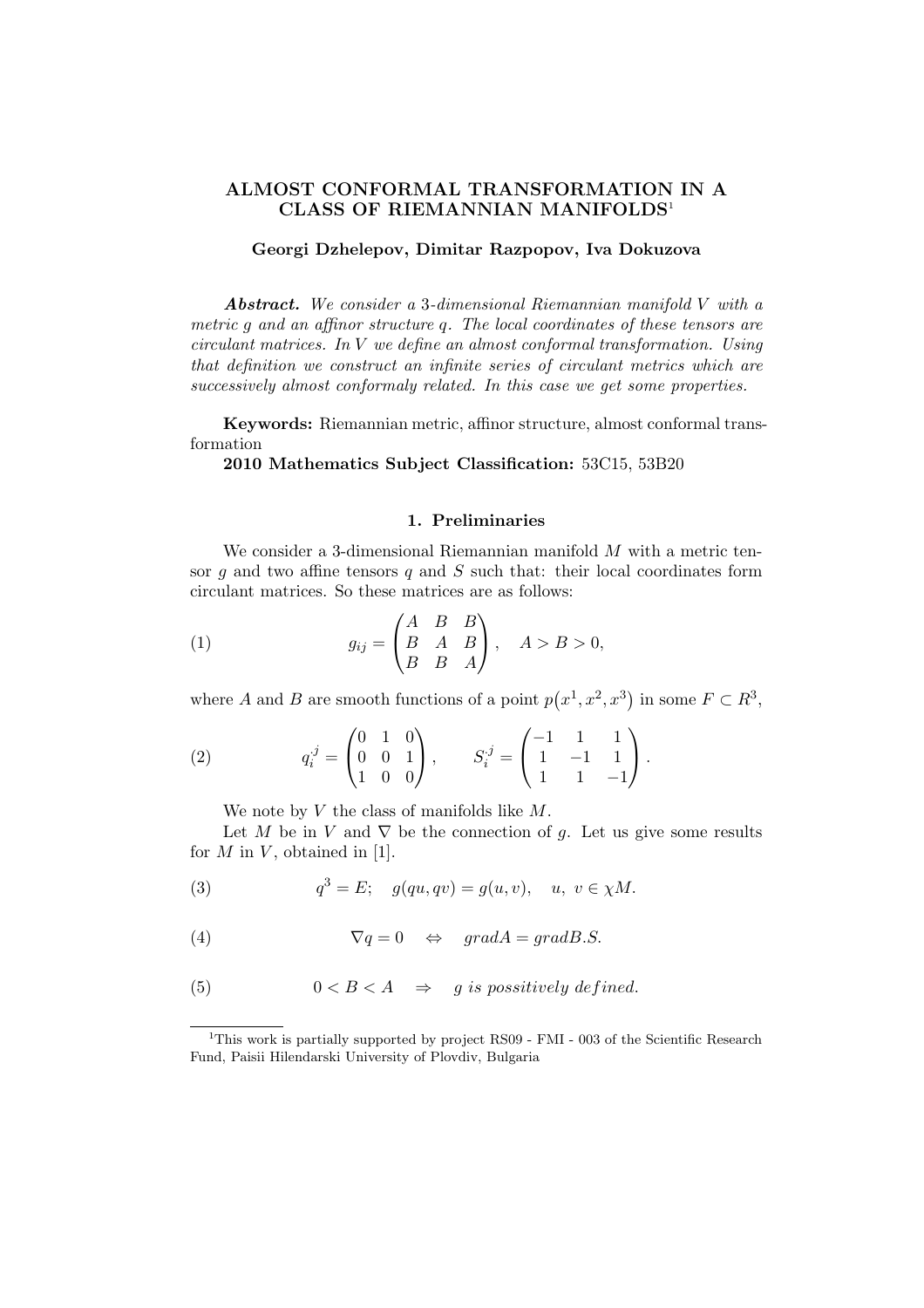# ALMOST CONFORMAL TRANSFORMATION IN A CLASS OF RIEMANNIAN MANIFOLDS<sup>1</sup>

## Georgi Dzhelepov, Dimitar Razpopov, Iva Dokuzova

Abstract. We consider a 3-dimensional Riemannian manifold V with a metric g and an affinor structure q. The local coordinates of these tensors are  $circulant$  matrices. In V we define an almost conformal transformation. Using that definition we construct an infinite series of circulant metrics which are successively almost conformaly related. In this case we get some properties.

Keywords: Riemannian metric, affinor structure, almost conformal transformation

2010 Mathematics Subject Classification: 53C15, 53B20

## 1. Preliminaries

We consider a 3-dimensional Riemannian manifold M with a metric tensor  $q$  and two affine tensors  $q$  and  $S$  such that: their local coordinates form circulant matrices. So these matrices are as follows:

(1) 
$$
g_{ij} = \begin{pmatrix} A & B & B \\ B & A & B \\ B & B & A \end{pmatrix}, \quad A > B > 0,
$$

where  $A$  and  $B$  are smooth functions of a point  $p$ ¡  $x^1, x^2, x^3$  in some  $F \subset R^3$ ,

(2) 
$$
q_i^{\ j} = \begin{pmatrix} 0 & 1 & 0 \\ 0 & 0 & 1 \\ 1 & 0 & 0 \end{pmatrix}, \qquad S_i^{\ j} = \begin{pmatrix} -1 & 1 & 1 \\ 1 & -1 & 1 \\ 1 & 1 & -1 \end{pmatrix}.
$$

We note by  $V$  the class of manifolds like  $M$ .

Let M be in V and  $\nabla$  be the connection of g. Let us give some results for  $M$  in  $V$ , obtained in [1].

(3) 
$$
q^3 = E
$$
;  $g(qu, qv) = g(u, v)$ ,  $u, v \in \chi M$ .

(4) 
$$
\nabla q = 0 \Leftrightarrow \quad grad A = grad B.S.
$$

(5) 
$$
0 < B < A \Rightarrow g \text{ is positively defined.}
$$

<sup>&</sup>lt;sup>1</sup>This work is partially supported by project RS09 - FMI - 003 of the Scientific Research Fund, Paisii Hilendarski University of Plovdiv, Bulgaria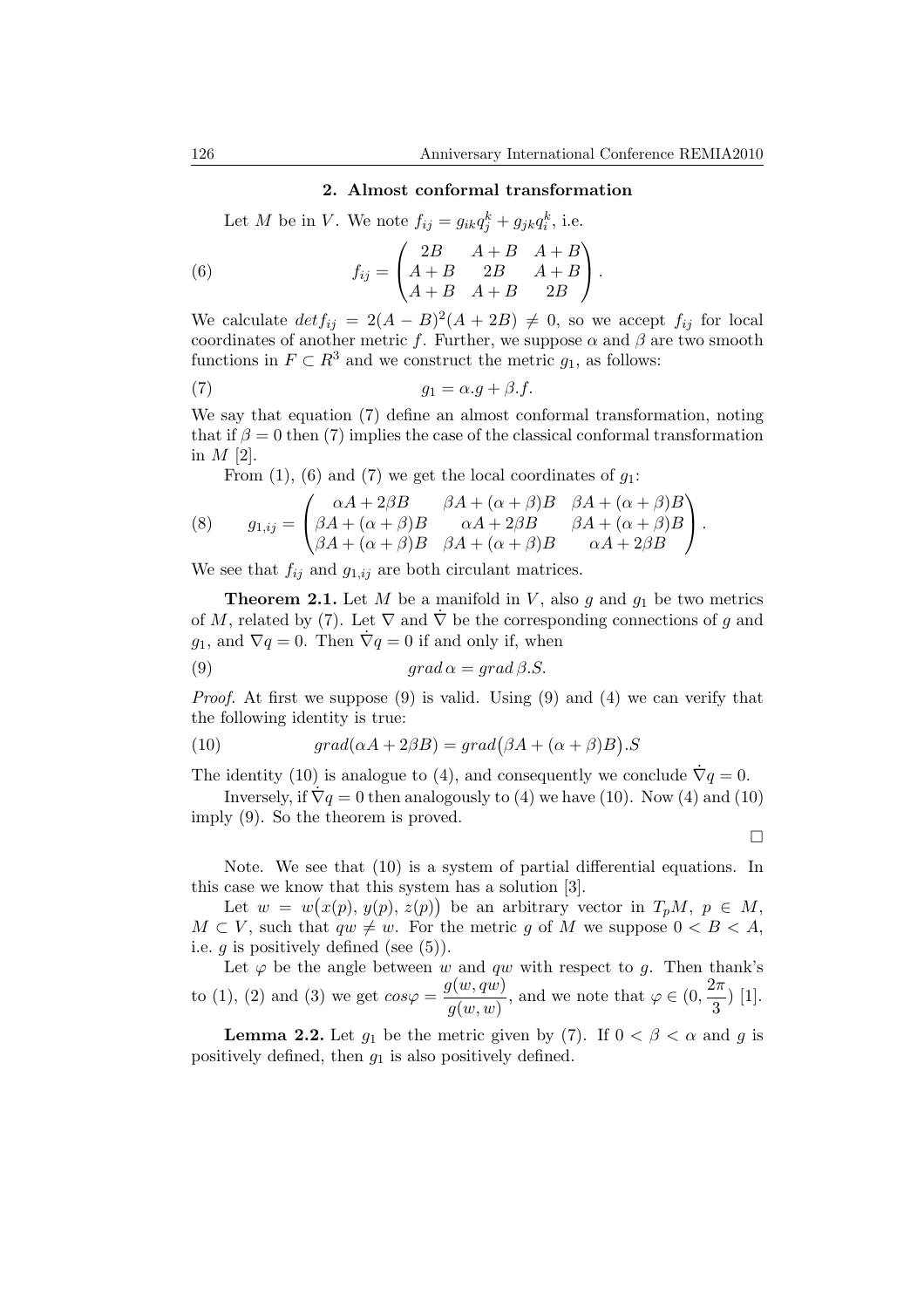#### 2. Almost conformal transformation

Let M be in V. We note  $f_{ij} = g_{ik}q_j^k + g_{jk}q_i^k$ , i.e.

(6) 
$$
f_{ij} = \begin{pmatrix} 2B & A+B & A+B \\ A+B & 2B & A+B \\ A+B & A+B & 2B \end{pmatrix}.
$$

We calculate  $det f_{ij} = 2(A - B)^2(A + 2B) \neq 0$ , so we accept  $f_{ij}$  for local coordinates of another metric f. Further, we suppose  $\alpha$  and  $\beta$  are two smooth functions in  $F \subset R^3$  and we construct the metric  $g_1$ , as follows:

(7) 
$$
g_1 = \alpha \cdot g + \beta \cdot f.
$$

We say that equation (7) define an almost conformal transformation, noting that if  $\beta = 0$  then (7) implies the case of the classical conformal transformation in  $M$  [2].

From (1), (6) and (7) we get the local coordinates of  $g_1$ :

(8) 
$$
g_{1,ij} = \begin{pmatrix} \alpha A + 2\beta B & \beta A + (\alpha + \beta)B & \beta A + (\alpha + \beta)B \\ \beta A + (\alpha + \beta)B & \alpha A + 2\beta B & \beta A + (\alpha + \beta)B \\ \beta A + (\alpha + \beta)B & \beta A + (\alpha + \beta)B & \alpha A + 2\beta B \end{pmatrix}.
$$

We see that  $f_{ij}$  and  $g_{1,ij}$  are both circulant matrices.

**Theorem 2.1.** Let M be a manifold in V, also g and  $g_1$  be two metrics of M, related by (7). Let  $\nabla$  and  $\nabla$  be the corresponding connections of g and  $g_1$ , and  $\nabla q = 0$ . Then  $\nabla q = 0$  if and only if, when

(9) 
$$
grad \alpha = grad \beta.S.
$$

Proof. At first we suppose (9) is valid. Using (9) and (4) we can verify that the following identity is true:

(10) 
$$
grad(\alpha A + 2\beta B) = grad(\beta A + (\alpha + \beta)B).
$$

The identity (10) is analogue to (4), and consequently we conclude  $\nabla q = 0$ .

Inversely, if  $\nabla q = 0$  then analogously to (4) we have (10). Now (4) and (10) imply (9). So the theorem is proved.

¤

Note. We see that (10) is a system of partial differential equations. In this case we know that this system has a solution  $[3]$ .

Let  $w = w(x(p), y(p), z(p))$  be an arbitrary vector in  $T_pM$ ,  $p \in M$ ,  $M \subset V$ , such that  $qw \neq w$ . For the metric g of M we suppose  $0 < B < A$ , i.e.  $q$  is positively defined (see  $(5)$ ).

Let  $\varphi$  be the angle between w and qw with respect to g. Then thank's to (1), (2) and (3) we get  $cos\varphi = \frac{g(w, qw)}{q(w)}$  $\frac{g(w, qw)}{g(w, w)}$ , and we note that  $\varphi \in (0, \frac{2\pi}{3})$  $\frac{1}{3}$  [1].

**Lemma 2.2.** Let  $g_1$  be the metric given by (7). If  $0 < \beta < \alpha$  and g is positively defined, then  $g_1$  is also positively defined.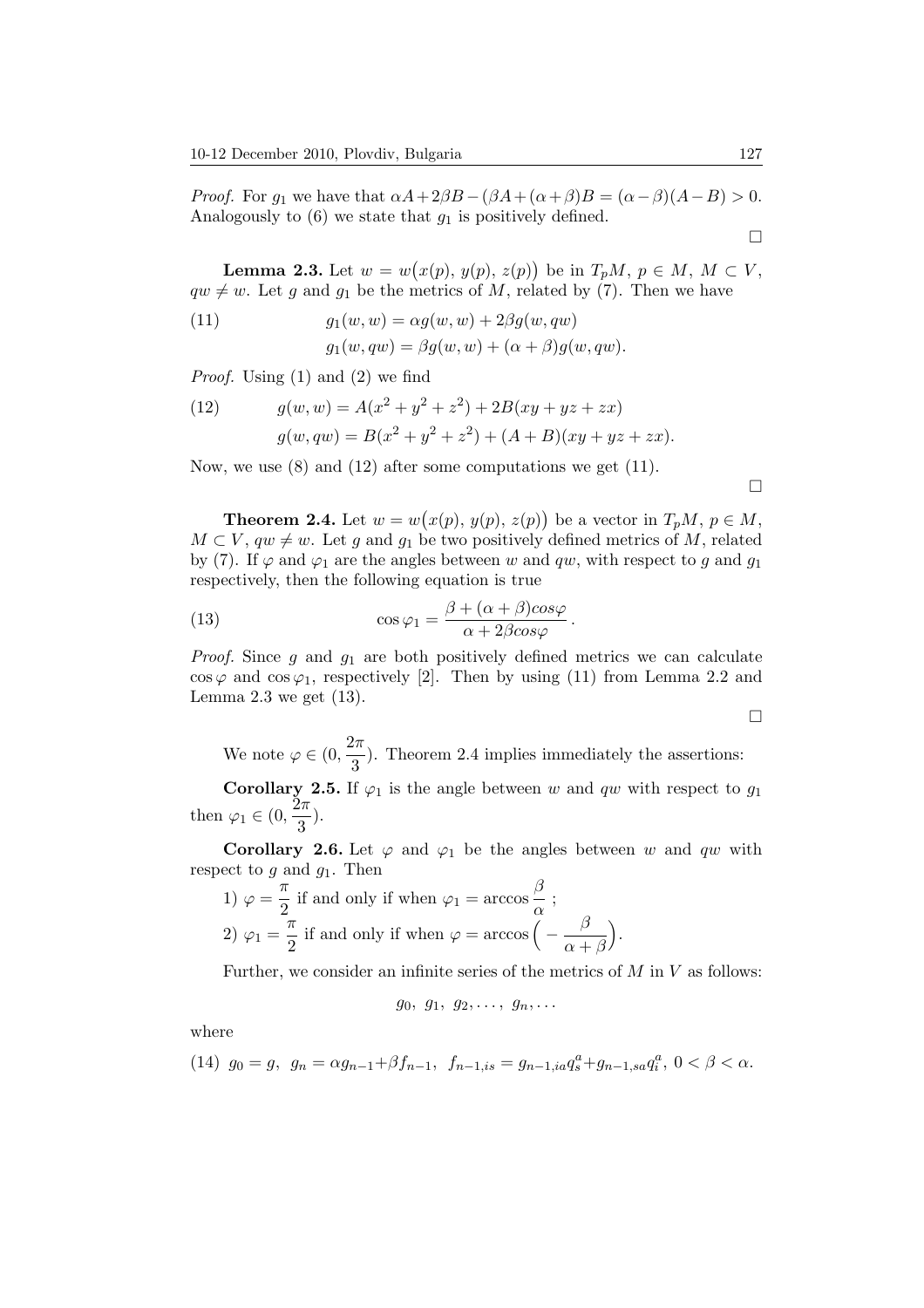*Proof.* For  $g_1$  we have that  $\alpha A + 2\beta B - (\beta A + (\alpha + \beta)B) = (\alpha - \beta)(A - B) > 0$ . Analogously to  $(6)$  we state that  $g_1$  is positively defined.

**Lemma 2.3.** Let  $w = w$ ¡  $x(p), y(p), z(p)$ ¢ be in  $T_pM, p \in M, M \subset V$ ,  $qw \neq w$ . Let g and  $g_1$  be the metrics of M, related by (7). Then we have

(11) 
$$
g_1(w, w) = \alpha g(w, w) + 2\beta g(w, qw)
$$

$$
g_1(w, qw) = \beta g(w, w) + (\alpha + \beta) g(w, qw).
$$

Proof. Using (1) and (2) we find

(12) 
$$
g(w, w) = A(x^2 + y^2 + z^2) + 2B(xy + yz + zx)
$$

$$
g(w, qw) = B(x^2 + y^2 + z^2) + (A + B)(xy + yz + zx).
$$

Now, we use  $(8)$  and  $(12)$  after some computations we get  $(11)$ .

**Theorem 2.4.** Let  $w = w$ ¡  $x(p), y(p), z(p)$ ¢ be a vector in  $T_pM, p \in M$ ,  $M \subset V$ ,  $qw \neq w$ . Let g and  $g_1$  be two positively defined metrics of M, related by (7). If  $\varphi$  and  $\varphi_1$  are the angles between w and qw, with respect to g and  $g_1$ respectively, then the following equation is true

(13) 
$$
\cos \varphi_1 = \frac{\beta + (\alpha + \beta)\cos\varphi}{\alpha + 2\beta\cos\varphi}.
$$

*Proof.* Since g and  $g_1$  are both positively defined metrics we can calculate  $\cos \varphi$  and  $\cos \varphi_1$ , respectively [2]. Then by using (11) from Lemma 2.2 and Lemma 2.3 we get  $(13)$ .

We note  $\varphi \in (0, \frac{2\pi}{\sigma})$  $\frac{3}{3}$ ). Theorem 2.4 implies immediately the assertions:

**Corollary 2.5.** If  $\varphi_1$  is the angle between w and qw with respect to  $g_1$ then  $\varphi_1 \in (0, \frac{\tilde{2}\pi}{2})$  $\frac{3}{3}$ ).

**Corollary 2.6.** Let  $\varphi$  and  $\varphi_1$  be the angles between w and qw with respect to  $g$  and  $g_1$ . Then

1) 
$$
\varphi = \frac{\pi}{2}
$$
 if and only if when  $\varphi_1 = \arccos \frac{\beta}{\alpha}$ ;  
\n2)  $\varphi_1 = \frac{\pi}{2}$  if and only if when  $\varphi = \arccos \left( -\frac{\beta}{\alpha + \beta} \right)$ .

Further, we consider an infinite series of the metrics of  $M$  in  $V$  as follows:

$$
g_0, g_1, g_2, \ldots, g_n, \ldots
$$

where

(14) 
$$
g_0 = g
$$
,  $g_n = \alpha g_{n-1} + \beta f_{n-1}$ ,  $f_{n-1, is} = g_{n-1, ia} q_s^a + g_{n-1, sa} q_i^a$ ,  $0 < \beta < \alpha$ .

¤

¤

¤